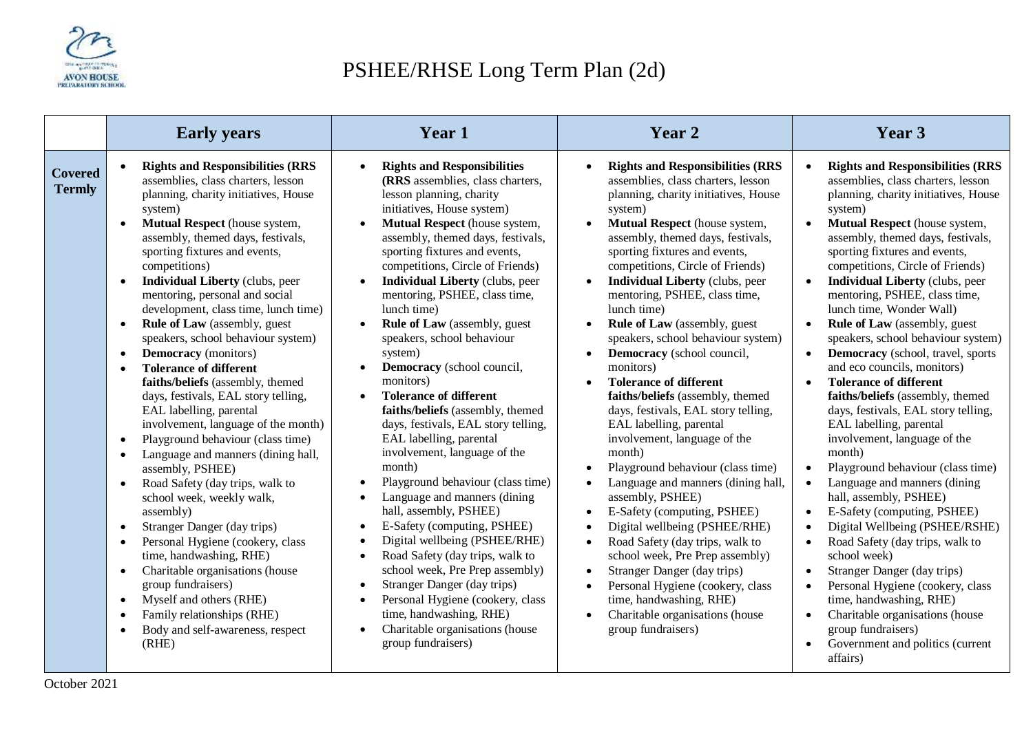

## PSHEE/RHSE Long Term Plan (2d)

|                                 | <b>Early years</b>                                                                                                                                                                                                                                                                                                                                                                                                                                                                                                                                                                                                                                                                                                                                                                                                                                                                                                                                                                                                                                                                                                                                                                                                                                                                       | <b>Year 1</b>                                                                                                                                                                                                                                                                                                                                                                                                                                                                                                                                                                                                                                                                                                                                                                                                                                                                                                                                                                                                                                                                              | Year 2                                                                                                                                                                                                                                                                                                                                                                                                                                                                                                                                                                                                                                                                                                                                                                                                                                                                                                                                                                                                                                                                                                                                                                                                                    | Year 3                                                                                                                                                                                                                                                                                                                                                                                                                                                                                                                                                                                                                                                                                                                                                                                                                                                                                                                                                                                                                                                                                                                                                                                                                       |
|---------------------------------|------------------------------------------------------------------------------------------------------------------------------------------------------------------------------------------------------------------------------------------------------------------------------------------------------------------------------------------------------------------------------------------------------------------------------------------------------------------------------------------------------------------------------------------------------------------------------------------------------------------------------------------------------------------------------------------------------------------------------------------------------------------------------------------------------------------------------------------------------------------------------------------------------------------------------------------------------------------------------------------------------------------------------------------------------------------------------------------------------------------------------------------------------------------------------------------------------------------------------------------------------------------------------------------|--------------------------------------------------------------------------------------------------------------------------------------------------------------------------------------------------------------------------------------------------------------------------------------------------------------------------------------------------------------------------------------------------------------------------------------------------------------------------------------------------------------------------------------------------------------------------------------------------------------------------------------------------------------------------------------------------------------------------------------------------------------------------------------------------------------------------------------------------------------------------------------------------------------------------------------------------------------------------------------------------------------------------------------------------------------------------------------------|---------------------------------------------------------------------------------------------------------------------------------------------------------------------------------------------------------------------------------------------------------------------------------------------------------------------------------------------------------------------------------------------------------------------------------------------------------------------------------------------------------------------------------------------------------------------------------------------------------------------------------------------------------------------------------------------------------------------------------------------------------------------------------------------------------------------------------------------------------------------------------------------------------------------------------------------------------------------------------------------------------------------------------------------------------------------------------------------------------------------------------------------------------------------------------------------------------------------------|------------------------------------------------------------------------------------------------------------------------------------------------------------------------------------------------------------------------------------------------------------------------------------------------------------------------------------------------------------------------------------------------------------------------------------------------------------------------------------------------------------------------------------------------------------------------------------------------------------------------------------------------------------------------------------------------------------------------------------------------------------------------------------------------------------------------------------------------------------------------------------------------------------------------------------------------------------------------------------------------------------------------------------------------------------------------------------------------------------------------------------------------------------------------------------------------------------------------------|
| <b>Covered</b><br><b>Termly</b> | <b>Rights and Responsibilities (RRS</b><br>assemblies, class charters, lesson<br>planning, charity initiatives, House<br>system)<br>Mutual Respect (house system,<br>assembly, themed days, festivals,<br>sporting fixtures and events,<br>competitions)<br><b>Individual Liberty</b> (clubs, peer<br>$\bullet$<br>mentoring, personal and social<br>development, class time, lunch time)<br><b>Rule of Law</b> (assembly, guest<br>$\bullet$<br>speakers, school behaviour system)<br><b>Democracy</b> (monitors)<br>$\bullet$<br><b>Tolerance of different</b><br>$\bullet$<br>faiths/beliefs (assembly, themed<br>days, festivals, EAL story telling,<br>EAL labelling, parental<br>involvement, language of the month)<br>Playground behaviour (class time)<br>$\bullet$<br>Language and manners (dining hall,<br>$\bullet$<br>assembly, PSHEE)<br>Road Safety (day trips, walk to<br>$\bullet$<br>school week, weekly walk,<br>assembly)<br>Stranger Danger (day trips)<br>$\bullet$<br>Personal Hygiene (cookery, class<br>$\bullet$<br>time, handwashing, RHE)<br>Charitable organisations (house<br>$\bullet$<br>group fundraisers)<br>Myself and others (RHE)<br>$\bullet$<br>Family relationships (RHE)<br>$\bullet$<br>Body and self-awareness, respect<br>$\bullet$<br>(RHE) | <b>Rights and Responsibilities</b><br>(RRS assemblies, class charters,<br>lesson planning, charity<br>initiatives, House system)<br>Mutual Respect (house system,<br>assembly, themed days, festivals,<br>sporting fixtures and events,<br>competitions, Circle of Friends)<br><b>Individual Liberty</b> (clubs, peer<br>mentoring, PSHEE, class time,<br>lunch time)<br><b>Rule of Law</b> (assembly, guest<br>speakers, school behaviour<br>system)<br>Democracy (school council,<br>monitors)<br><b>Tolerance of different</b><br>$\bullet$<br>faiths/beliefs (assembly, themed<br>days, festivals, EAL story telling,<br>EAL labelling, parental<br>involvement, language of the<br>month)<br>Playground behaviour (class time)<br>Language and manners (dining<br>hall, assembly, PSHEE)<br>E-Safety (computing, PSHEE)<br>Digital wellbeing (PSHEE/RHE)<br>Road Safety (day trips, walk to<br>school week, Pre Prep assembly)<br>Stranger Danger (day trips)<br>Personal Hygiene (cookery, class<br>time, handwashing, RHE)<br>Charitable organisations (house<br>group fundraisers) | <b>Rights and Responsibilities (RRS</b><br>assemblies, class charters, lesson<br>planning, charity initiatives, House<br>system)<br>Mutual Respect (house system,<br>$\bullet$<br>assembly, themed days, festivals,<br>sporting fixtures and events,<br>competitions, Circle of Friends)<br><b>Individual Liberty</b> (clubs, peer<br>$\bullet$<br>mentoring, PSHEE, class time,<br>lunch time)<br><b>Rule of Law</b> (assembly, guest<br>$\bullet$<br>speakers, school behaviour system)<br>Democracy (school council,<br>monitors)<br><b>Tolerance of different</b><br>faiths/beliefs (assembly, themed<br>days, festivals, EAL story telling,<br>EAL labelling, parental<br>involvement, language of the<br>month)<br>Playground behaviour (class time)<br>$\bullet$<br>Language and manners (dining hall,<br>$\bullet$<br>assembly, PSHEE)<br>E-Safety (computing, PSHEE)<br>$\bullet$<br>Digital wellbeing (PSHEE/RHE)<br>$\bullet$<br>Road Safety (day trips, walk to<br>$\bullet$<br>school week, Pre Prep assembly)<br>Stranger Danger (day trips)<br>$\bullet$<br>Personal Hygiene (cookery, class<br>$\bullet$<br>time, handwashing, RHE)<br>Charitable organisations (house<br>$\bullet$<br>group fundraisers) | <b>Rights and Responsibilities (RRS</b><br>assemblies, class charters, lesson<br>planning, charity initiatives, House<br>system)<br>Mutual Respect (house system,<br>assembly, themed days, festivals,<br>sporting fixtures and events,<br>competitions, Circle of Friends)<br><b>Individual Liberty (clubs, peer</b><br>$\bullet$<br>mentoring, PSHEE, class time,<br>lunch time, Wonder Wall)<br><b>Rule of Law</b> (assembly, guest<br>speakers, school behaviour system)<br>Democracy (school, travel, sports<br>and eco councils, monitors)<br><b>Tolerance of different</b><br>$\bullet$<br>faiths/beliefs (assembly, themed<br>days, festivals, EAL story telling,<br>EAL labelling, parental<br>involvement, language of the<br>month)<br>Playground behaviour (class time)<br>$\bullet$<br>Language and manners (dining<br>$\bullet$<br>hall, assembly, PSHEE)<br>E-Safety (computing, PSHEE)<br>Digital Wellbeing (PSHEE/RSHE)<br>Road Safety (day trips, walk to<br>$\bullet$<br>school week)<br>Stranger Danger (day trips)<br>$\bullet$<br>Personal Hygiene (cookery, class<br>time, handwashing, RHE)<br>Charitable organisations (house<br>group fundraisers)<br>Government and politics (current<br>affairs) |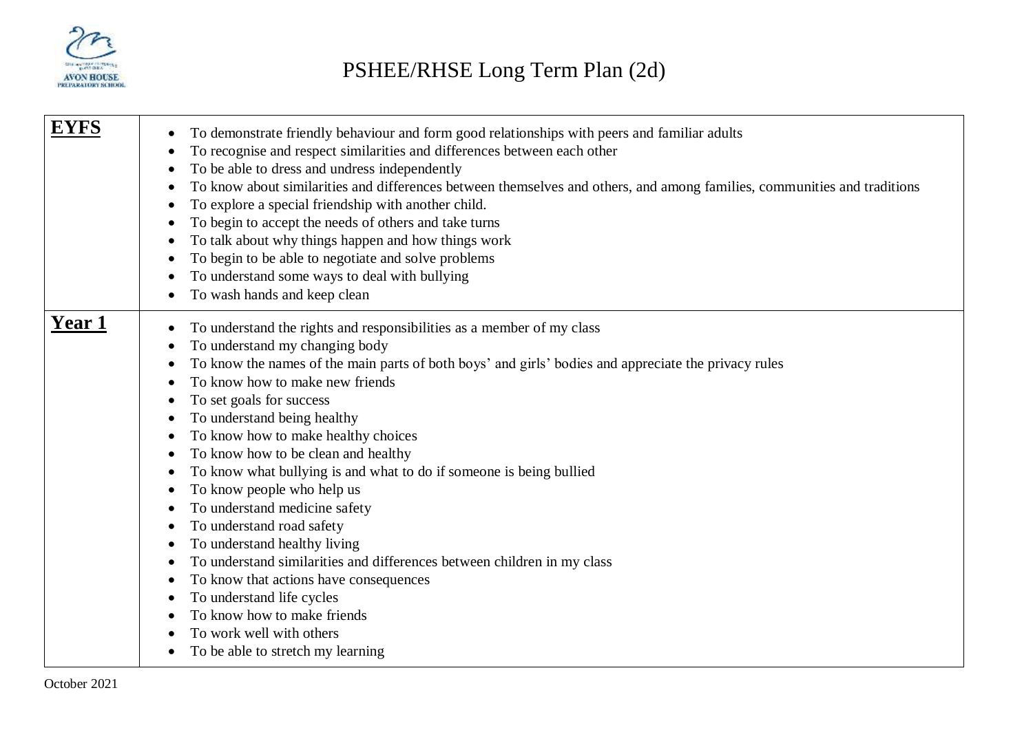

| EYFS          | To demonstrate friendly behaviour and form good relationships with peers and familiar adults<br>$\bullet$<br>To recognise and respect similarities and differences between each other<br>$\bullet$<br>To be able to dress and undress independently<br>To know about similarities and differences between themselves and others, and among families, communities and traditions<br>To explore a special friendship with another child.<br>To begin to accept the needs of others and take turns<br>To talk about why things happen and how things work<br>To begin to be able to negotiate and solve problems<br>To understand some ways to deal with bullying<br>To wash hands and keep clean                                                                                                                                                                                  |
|---------------|---------------------------------------------------------------------------------------------------------------------------------------------------------------------------------------------------------------------------------------------------------------------------------------------------------------------------------------------------------------------------------------------------------------------------------------------------------------------------------------------------------------------------------------------------------------------------------------------------------------------------------------------------------------------------------------------------------------------------------------------------------------------------------------------------------------------------------------------------------------------------------|
| <b>Year 1</b> | To understand the rights and responsibilities as a member of my class<br>$\bullet$<br>To understand my changing body<br>To know the names of the main parts of both boys' and girls' bodies and appreciate the privacy rules<br>To know how to make new friends<br>To set goals for success<br>To understand being healthy<br>To know how to make healthy choices<br>To know how to be clean and healthy<br>To know what bullying is and what to do if someone is being bullied<br>To know people who help us<br>To understand medicine safety<br>To understand road safety<br>To understand healthy living<br>٠<br>To understand similarities and differences between children in my class<br>To know that actions have consequences<br>To understand life cycles<br>To know how to make friends<br>To work well with others<br>To be able to stretch my learning<br>$\bullet$ |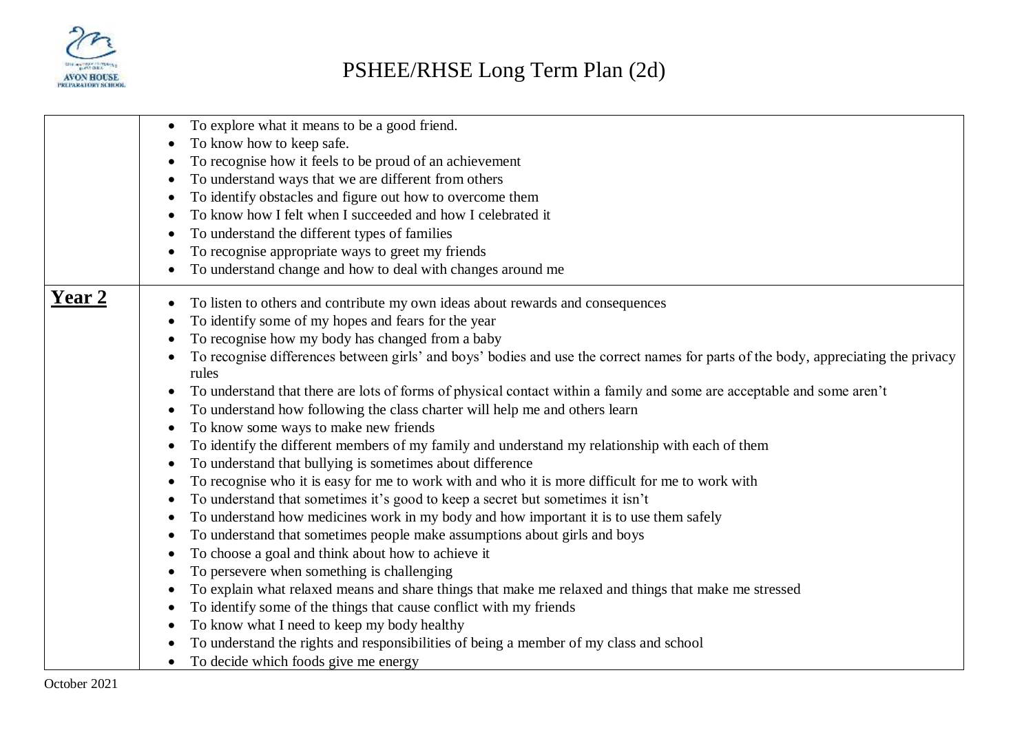

|               | To explore what it means to be a good friend.<br>To know how to keep safe.<br>To recognise how it feels to be proud of an achievement<br>To understand ways that we are different from others<br>To identify obstacles and figure out how to overcome them |
|---------------|------------------------------------------------------------------------------------------------------------------------------------------------------------------------------------------------------------------------------------------------------------|
|               | To know how I felt when I succeeded and how I celebrated it                                                                                                                                                                                                |
|               | To understand the different types of families                                                                                                                                                                                                              |
|               | To recognise appropriate ways to greet my friends                                                                                                                                                                                                          |
|               | To understand change and how to deal with changes around me                                                                                                                                                                                                |
| <u>Year 2</u> | To listen to others and contribute my own ideas about rewards and consequences                                                                                                                                                                             |
|               | To identify some of my hopes and fears for the year                                                                                                                                                                                                        |
|               | To recognise how my body has changed from a baby                                                                                                                                                                                                           |
|               | To recognise differences between girls' and boys' bodies and use the correct names for parts of the body, appreciating the privacy<br>rules                                                                                                                |
|               | To understand that there are lots of forms of physical contact within a family and some are acceptable and some aren't                                                                                                                                     |
|               | To understand how following the class charter will help me and others learn                                                                                                                                                                                |
|               | To know some ways to make new friends                                                                                                                                                                                                                      |
|               | To identify the different members of my family and understand my relationship with each of them                                                                                                                                                            |
|               | To understand that bullying is sometimes about difference                                                                                                                                                                                                  |
|               | To recognise who it is easy for me to work with and who it is more difficult for me to work with                                                                                                                                                           |
|               | To understand that sometimes it's good to keep a secret but sometimes it isn't                                                                                                                                                                             |
|               | To understand how medicines work in my body and how important it is to use them safely                                                                                                                                                                     |
|               | To understand that sometimes people make assumptions about girls and boys                                                                                                                                                                                  |
|               | To choose a goal and think about how to achieve it                                                                                                                                                                                                         |
|               | To persevere when something is challenging                                                                                                                                                                                                                 |
|               | To explain what relaxed means and share things that make me relaxed and things that make me stressed                                                                                                                                                       |
|               | To identify some of the things that cause conflict with my friends                                                                                                                                                                                         |
|               | To know what I need to keep my body healthy                                                                                                                                                                                                                |
|               | To understand the rights and responsibilities of being a member of my class and school                                                                                                                                                                     |
|               | To decide which foods give me energy                                                                                                                                                                                                                       |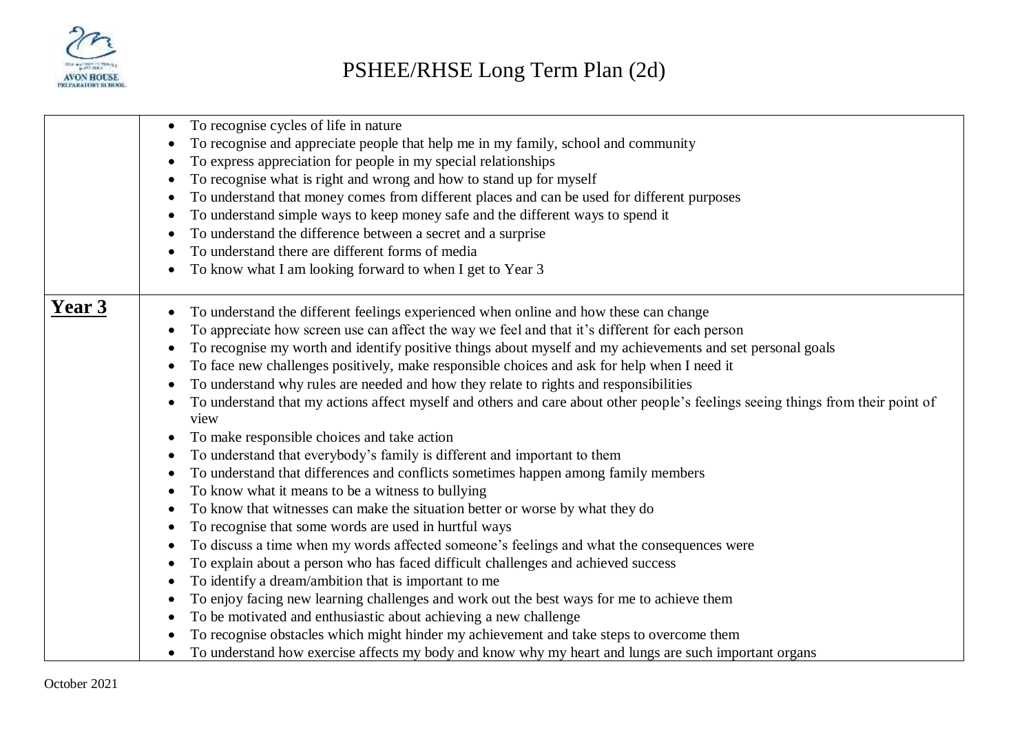

|        | To recognise cycles of life in nature<br>$\bullet$<br>To recognise and appreciate people that help me in my family, school and community<br>To express appreciation for people in my special relationships<br>To recognise what is right and wrong and how to stand up for myself<br>To understand that money comes from different places and can be used for different purposes<br>To understand simple ways to keep money safe and the different ways to spend it<br>To understand the difference between a secret and a surprise<br>To understand there are different forms of media                                                                                                                                                                                                                                                                                                                                                                                                                                                                                                                                                                                                                                                                                                                                                                                                                |
|--------|--------------------------------------------------------------------------------------------------------------------------------------------------------------------------------------------------------------------------------------------------------------------------------------------------------------------------------------------------------------------------------------------------------------------------------------------------------------------------------------------------------------------------------------------------------------------------------------------------------------------------------------------------------------------------------------------------------------------------------------------------------------------------------------------------------------------------------------------------------------------------------------------------------------------------------------------------------------------------------------------------------------------------------------------------------------------------------------------------------------------------------------------------------------------------------------------------------------------------------------------------------------------------------------------------------------------------------------------------------------------------------------------------------|
|        | To know what I am looking forward to when I get to Year 3                                                                                                                                                                                                                                                                                                                                                                                                                                                                                                                                                                                                                                                                                                                                                                                                                                                                                                                                                                                                                                                                                                                                                                                                                                                                                                                                              |
| Year 3 | To understand the different feelings experienced when online and how these can change<br>To appreciate how screen use can affect the way we feel and that it's different for each person<br>To recognise my worth and identify positive things about myself and my achievements and set personal goals<br>To face new challenges positively, make responsible choices and ask for help when I need it<br>To understand why rules are needed and how they relate to rights and responsibilities<br>٠<br>To understand that my actions affect myself and others and care about other people's feelings seeing things from their point of<br>view<br>To make responsible choices and take action<br>To understand that everybody's family is different and important to them<br>To understand that differences and conflicts sometimes happen among family members<br>To know what it means to be a witness to bullying<br>To know that witnesses can make the situation better or worse by what they do<br>To recognise that some words are used in hurtful ways<br>To discuss a time when my words affected someone's feelings and what the consequences were<br>To explain about a person who has faced difficult challenges and achieved success<br>To identify a dream/ambition that is important to me<br>To enjoy facing new learning challenges and work out the best ways for me to achieve them |
|        | To be motivated and enthusiastic about achieving a new challenge<br>To recognise obstacles which might hinder my achievement and take steps to overcome them                                                                                                                                                                                                                                                                                                                                                                                                                                                                                                                                                                                                                                                                                                                                                                                                                                                                                                                                                                                                                                                                                                                                                                                                                                           |
|        | To understand how exercise affects my body and know why my heart and lungs are such important organs                                                                                                                                                                                                                                                                                                                                                                                                                                                                                                                                                                                                                                                                                                                                                                                                                                                                                                                                                                                                                                                                                                                                                                                                                                                                                                   |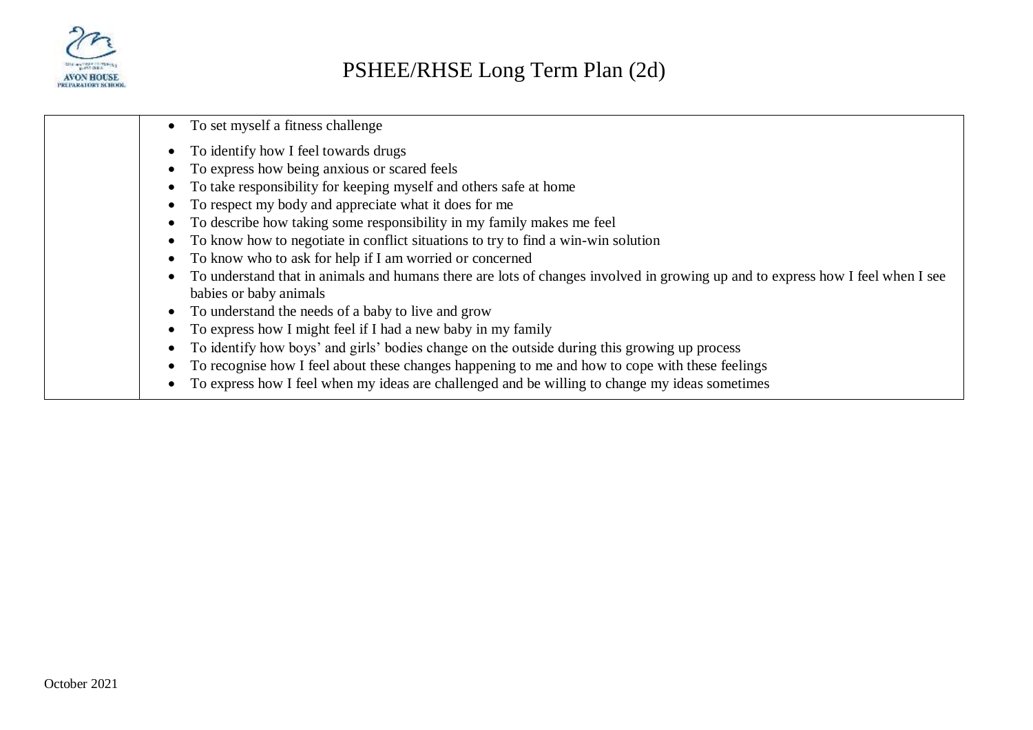

- To set myself a fitness challenge
- To identify how I feel towards drugs
- To express how being anxious or scared feels
- To take responsibility for keeping myself and others safe at home
- To respect my body and appreciate what it does for me
- To describe how taking some responsibility in my family makes me feel
- To know how to negotiate in conflict situations to try to find a win-win solution
- To know who to ask for help if I am worried or concerned
- To understand that in animals and humans there are lots of changes involved in growing up and to express how I feel when I see babies or baby animals
- To understand the needs of a baby to live and grow
- To express how I might feel if I had a new baby in my family
- To identify how boys' and girls' bodies change on the outside during this growing up process
- To recognise how I feel about these changes happening to me and how to cope with these feelings
- To express how I feel when my ideas are challenged and be willing to change my ideas sometimes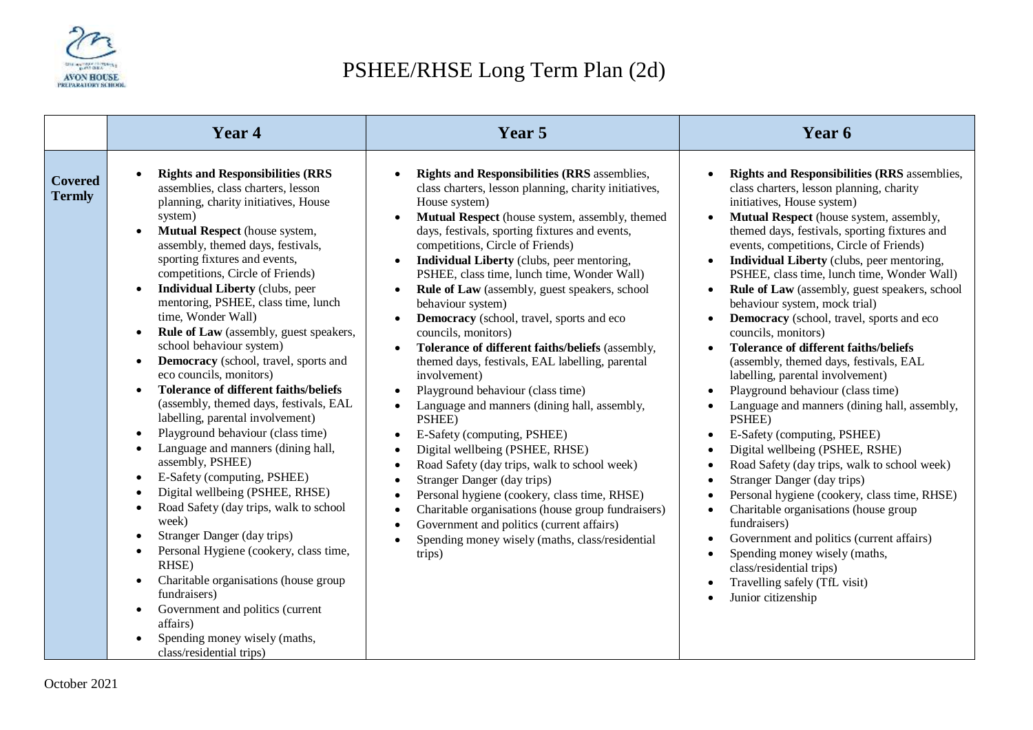

## PSHEE/RHSE Long Term Plan (2d)

|                                 | Year 4                                                                                                                                                                                                                                                                                                                                                                                                                                                                                                                                                                                                                                                                                                                                                                                                                                                                                                                                                                                                                                                                                                                                                                                                                                                                                | Year 5                                                                                                                                                                                                                                                                                                                                                                                                                                                                                                                                                                                                                                                                                                                                                                                                                                                                                                                                                                                                                                                                                                                                                                                                      | Year 6                                                                                                                                                                                                                                                                                                                                                                                                                                                                                                                                                                                                                                                                                                                                                                                                                                                                                                                                                                                                                                                                                                                                                                                               |
|---------------------------------|---------------------------------------------------------------------------------------------------------------------------------------------------------------------------------------------------------------------------------------------------------------------------------------------------------------------------------------------------------------------------------------------------------------------------------------------------------------------------------------------------------------------------------------------------------------------------------------------------------------------------------------------------------------------------------------------------------------------------------------------------------------------------------------------------------------------------------------------------------------------------------------------------------------------------------------------------------------------------------------------------------------------------------------------------------------------------------------------------------------------------------------------------------------------------------------------------------------------------------------------------------------------------------------|-------------------------------------------------------------------------------------------------------------------------------------------------------------------------------------------------------------------------------------------------------------------------------------------------------------------------------------------------------------------------------------------------------------------------------------------------------------------------------------------------------------------------------------------------------------------------------------------------------------------------------------------------------------------------------------------------------------------------------------------------------------------------------------------------------------------------------------------------------------------------------------------------------------------------------------------------------------------------------------------------------------------------------------------------------------------------------------------------------------------------------------------------------------------------------------------------------------|------------------------------------------------------------------------------------------------------------------------------------------------------------------------------------------------------------------------------------------------------------------------------------------------------------------------------------------------------------------------------------------------------------------------------------------------------------------------------------------------------------------------------------------------------------------------------------------------------------------------------------------------------------------------------------------------------------------------------------------------------------------------------------------------------------------------------------------------------------------------------------------------------------------------------------------------------------------------------------------------------------------------------------------------------------------------------------------------------------------------------------------------------------------------------------------------------|
| <b>Covered</b><br><b>Termly</b> | <b>Rights and Responsibilities (RRS</b><br>assemblies, class charters, lesson<br>planning, charity initiatives, House<br>system)<br>Mutual Respect (house system,<br>assembly, themed days, festivals,<br>sporting fixtures and events,<br>competitions, Circle of Friends)<br><b>Individual Liberty</b> (clubs, peer<br>mentoring, PSHEE, class time, lunch<br>time, Wonder Wall)<br>Rule of Law (assembly, guest speakers,<br>$\bullet$<br>school behaviour system)<br>Democracy (school, travel, sports and<br>$\bullet$<br>eco councils, monitors)<br><b>Tolerance of different faiths/beliefs</b><br>$\bullet$<br>(assembly, themed days, festivals, EAL<br>labelling, parental involvement)<br>Playground behaviour (class time)<br>$\bullet$<br>Language and manners (dining hall,<br>$\bullet$<br>assembly, PSHEE)<br>E-Safety (computing, PSHEE)<br>$\bullet$<br>Digital wellbeing (PSHEE, RHSE)<br>Road Safety (day trips, walk to school<br>$\bullet$<br>week)<br>Stranger Danger (day trips)<br>$\bullet$<br>Personal Hygiene (cookery, class time,<br>$\bullet$<br>RHSE)<br>Charitable organisations (house group<br>$\bullet$<br>fundraisers)<br>Government and politics (current<br>$\bullet$<br>affairs)<br>Spending money wisely (maths,<br>class/residential trips) | <b>Rights and Responsibilities (RRS assemblies,</b><br>class charters, lesson planning, charity initiatives,<br>House system)<br>Mutual Respect (house system, assembly, themed<br>days, festivals, sporting fixtures and events,<br>competitions, Circle of Friends)<br>Individual Liberty (clubs, peer mentoring,<br>PSHEE, class time, lunch time, Wonder Wall)<br>Rule of Law (assembly, guest speakers, school<br>behaviour system)<br>Democracy (school, travel, sports and eco<br>councils, monitors)<br>Tolerance of different faiths/beliefs (assembly,<br>themed days, festivals, EAL labelling, parental<br>involvement)<br>Playground behaviour (class time)<br>$\bullet$<br>Language and manners (dining hall, assembly,<br>$\bullet$<br>PSHEE)<br>E-Safety (computing, PSHEE)<br>Digital wellbeing (PSHEE, RHSE)<br>$\bullet$<br>Road Safety (day trips, walk to school week)<br>$\bullet$<br>Stranger Danger (day trips)<br>Personal hygiene (cookery, class time, RHSE)<br>$\bullet$<br>Charitable organisations (house group fundraisers)<br>$\bullet$<br>Government and politics (current affairs)<br>$\bullet$<br>Spending money wisely (maths, class/residential<br>$\bullet$<br>trips) | <b>Rights and Responsibilities (RRS</b> assemblies,<br>class charters, lesson planning, charity<br>initiatives, House system)<br>Mutual Respect (house system, assembly,<br>themed days, festivals, sporting fixtures and<br>events, competitions, Circle of Friends)<br><b>Individual Liberty</b> (clubs, peer mentoring,<br>PSHEE, class time, lunch time, Wonder Wall)<br>Rule of Law (assembly, guest speakers, school<br>behaviour system, mock trial)<br>Democracy (school, travel, sports and eco<br>councils, monitors)<br><b>Tolerance of different faiths/beliefs</b><br>(assembly, themed days, festivals, EAL<br>labelling, parental involvement)<br>Playground behaviour (class time)<br>Language and manners (dining hall, assembly,<br>PSHEE)<br>E-Safety (computing, PSHEE)<br>Digital wellbeing (PSHEE, RSHE)<br>Road Safety (day trips, walk to school week)<br>Stranger Danger (day trips)<br>Personal hygiene (cookery, class time, RHSE)<br>Charitable organisations (house group<br>fundraisers)<br>Government and politics (current affairs)<br>$\bullet$<br>Spending money wisely (maths,<br>class/residential trips)<br>Travelling safely (TfL visit)<br>Junior citizenship |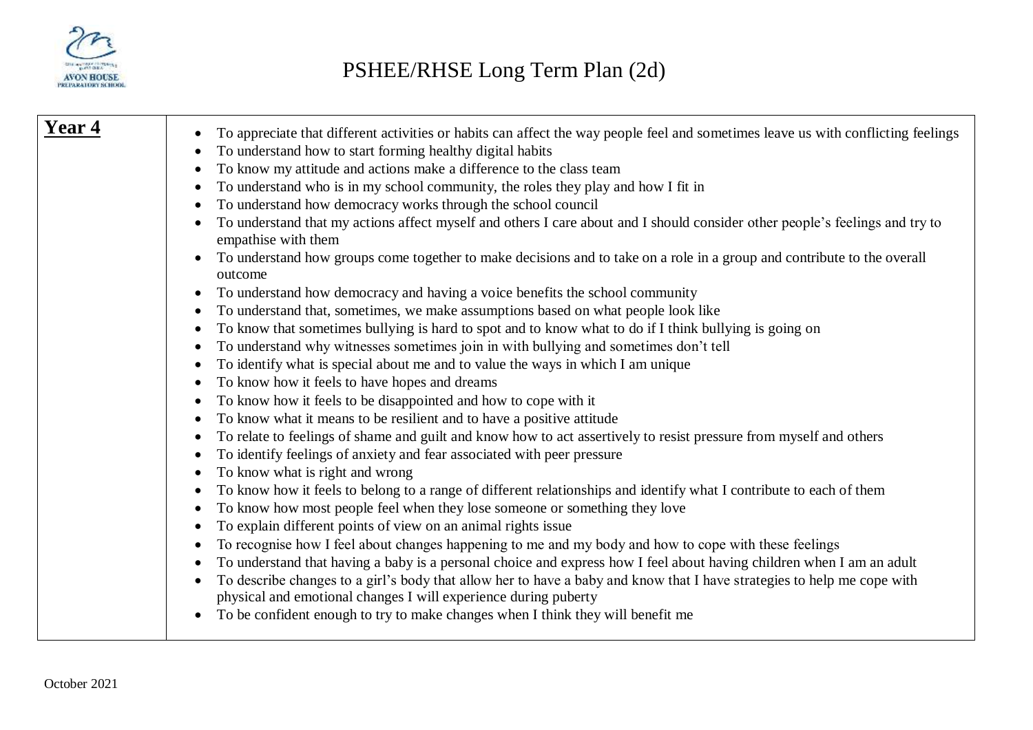

| Year 4 | To appreciate that different activities or habits can affect the way people feel and sometimes leave us with conflicting feelings                   |
|--------|-----------------------------------------------------------------------------------------------------------------------------------------------------|
|        | To understand how to start forming healthy digital habits                                                                                           |
|        | To know my attitude and actions make a difference to the class team<br>$\bullet$                                                                    |
|        | To understand who is in my school community, the roles they play and how I fit in                                                                   |
|        | To understand how democracy works through the school council                                                                                        |
|        | To understand that my actions affect myself and others I care about and I should consider other people's feelings and try to<br>empathise with them |
|        | To understand how groups come together to make decisions and to take on a role in a group and contribute to the overall<br>outcome                  |
|        | To understand how democracy and having a voice benefits the school community                                                                        |
|        | To understand that, sometimes, we make assumptions based on what people look like<br>$\bullet$                                                      |
|        | To know that sometimes bullying is hard to spot and to know what to do if I think bullying is going on<br>$\bullet$                                 |
|        | To understand why witnesses sometimes join in with bullying and sometimes don't tell<br>٠                                                           |
|        | To identify what is special about me and to value the ways in which I am unique<br>٠                                                                |
|        | To know how it feels to have hopes and dreams<br>٠                                                                                                  |
|        | To know how it feels to be disappointed and how to cope with it<br>٠                                                                                |
|        | To know what it means to be resilient and to have a positive attitude                                                                               |
|        | To relate to feelings of shame and guilt and know how to act assertively to resist pressure from myself and others<br>٠                             |
|        | To identify feelings of anxiety and fear associated with peer pressure                                                                              |
|        | To know what is right and wrong<br>$\bullet$                                                                                                        |
|        | To know how it feels to belong to a range of different relationships and identify what I contribute to each of them                                 |
|        | To know how most people feel when they lose someone or something they love                                                                          |
|        | To explain different points of view on an animal rights issue<br>٠                                                                                  |
|        | To recognise how I feel about changes happening to me and my body and how to cope with these feelings                                               |
|        | To understand that having a baby is a personal choice and express how I feel about having children when I am an adult                               |
|        | To describe changes to a girl's body that allow her to have a baby and know that I have strategies to help me cope with                             |
|        | physical and emotional changes I will experience during puberty                                                                                     |
|        | To be confident enough to try to make changes when I think they will benefit me                                                                     |
|        |                                                                                                                                                     |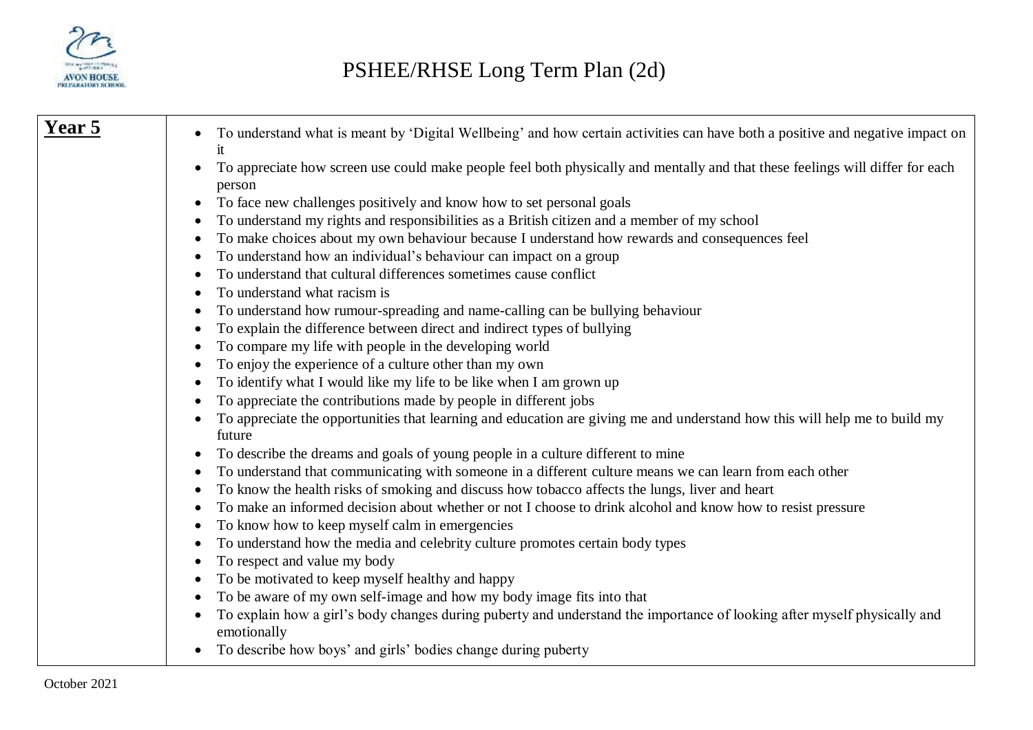

| Year 5 | To understand what is meant by 'Digital Wellbeing' and how certain activities can have both a positive and negative impact on |
|--------|-------------------------------------------------------------------------------------------------------------------------------|
|        | it                                                                                                                            |
|        | To appreciate how screen use could make people feel both physically and mentally and that these feelings will differ for each |
|        | person                                                                                                                        |
|        | To face new challenges positively and know how to set personal goals                                                          |
|        | To understand my rights and responsibilities as a British citizen and a member of my school                                   |
|        | To make choices about my own behaviour because I understand how rewards and consequences feel                                 |
|        | To understand how an individual's behaviour can impact on a group                                                             |
|        | To understand that cultural differences sometimes cause conflict                                                              |
|        | To understand what racism is                                                                                                  |
|        | To understand how rumour-spreading and name-calling can be bullying behaviour                                                 |
|        | To explain the difference between direct and indirect types of bullying                                                       |
|        | To compare my life with people in the developing world                                                                        |
|        | To enjoy the experience of a culture other than my own                                                                        |
|        | To identify what I would like my life to be like when I am grown up                                                           |
|        | To appreciate the contributions made by people in different jobs                                                              |
|        | To appreciate the opportunities that learning and education are giving me and understand how this will help me to build my    |
|        | future                                                                                                                        |
|        | To describe the dreams and goals of young people in a culture different to mine                                               |
|        | To understand that communicating with someone in a different culture means we can learn from each other                       |
|        | To know the health risks of smoking and discuss how tobacco affects the lungs, liver and heart                                |
|        | To make an informed decision about whether or not I choose to drink alcohol and know how to resist pressure                   |
|        | To know how to keep myself calm in emergencies                                                                                |
|        | To understand how the media and celebrity culture promotes certain body types                                                 |
|        | To respect and value my body                                                                                                  |
|        | To be motivated to keep myself healthy and happy                                                                              |
|        | To be aware of my own self-image and how my body image fits into that                                                         |
|        | To explain how a girl's body changes during puberty and understand the importance of looking after myself physically and      |
|        | emotionally                                                                                                                   |
|        | To describe how boys' and girls' bodies change during puberty<br>$\bullet$                                                    |
|        |                                                                                                                               |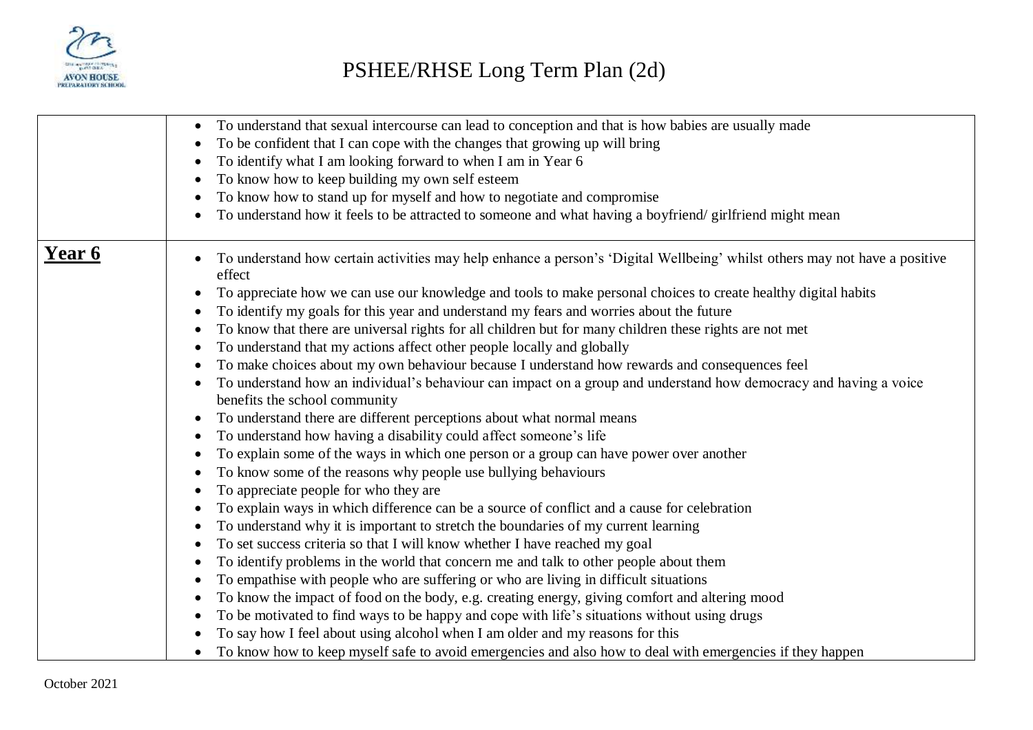

|        | To understand that sexual intercourse can lead to conception and that is how babies are usually made                                 |
|--------|--------------------------------------------------------------------------------------------------------------------------------------|
|        | To be confident that I can cope with the changes that growing up will bring                                                          |
|        | To identify what I am looking forward to when I am in Year 6                                                                         |
|        | To know how to keep building my own self esteem                                                                                      |
|        | To know how to stand up for myself and how to negotiate and compromise<br>٠                                                          |
|        | To understand how it feels to be attracted to someone and what having a boyfriend/girlfriend might mean                              |
|        |                                                                                                                                      |
| Year 6 | To understand how certain activities may help enhance a person's 'Digital Wellbeing' whilst others may not have a positive<br>effect |
|        | To appreciate how we can use our knowledge and tools to make personal choices to create healthy digital habits<br>$\bullet$          |
|        | To identify my goals for this year and understand my fears and worries about the future                                              |
|        | To know that there are universal rights for all children but for many children these rights are not met<br>٠                         |
|        | To understand that my actions affect other people locally and globally                                                               |
|        | To make choices about my own behaviour because I understand how rewards and consequences feel<br>٠                                   |
|        | To understand how an individual's behaviour can impact on a group and understand how democracy and having a voice                    |
|        | benefits the school community                                                                                                        |
|        | To understand there are different perceptions about what normal means                                                                |
|        | To understand how having a disability could affect someone's life                                                                    |
|        | To explain some of the ways in which one person or a group can have power over another                                               |
|        | To know some of the reasons why people use bullying behaviours                                                                       |
|        | To appreciate people for who they are                                                                                                |
|        | To explain ways in which difference can be a source of conflict and a cause for celebration                                          |
|        | To understand why it is important to stretch the boundaries of my current learning<br>٠                                              |
|        | To set success criteria so that I will know whether I have reached my goal                                                           |
|        | To identify problems in the world that concern me and talk to other people about them                                                |
|        | To empathise with people who are suffering or who are living in difficult situations                                                 |
|        | To know the impact of food on the body, e.g. creating energy, giving comfort and altering mood                                       |
|        | To be motivated to find ways to be happy and cope with life's situations without using drugs                                         |
|        | To say how I feel about using alcohol when I am older and my reasons for this                                                        |
|        | To know how to keep myself safe to avoid emergencies and also how to deal with emergencies if they happen                            |
|        |                                                                                                                                      |